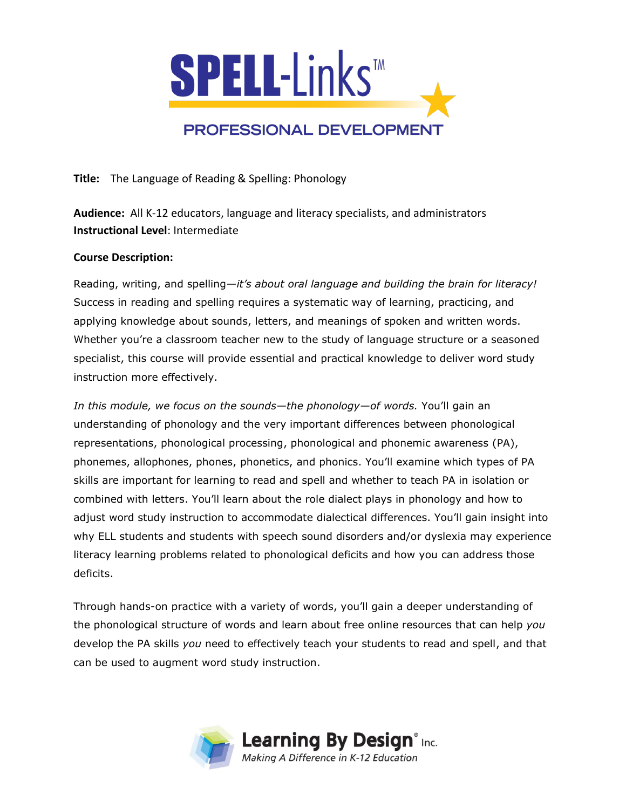

**Title:** The Language of Reading & Spelling: Phonology

**Audience:** All K-12 educators, language and literacy specialists, and administrators **Instructional Level**: Intermediate

## **Course Description:**

Reading, writing, and spelling—*it's about oral language and building the brain for literacy!* Success in reading and spelling requires a systematic way of learning, practicing, and applying knowledge about sounds, letters, and meanings of spoken and written words. Whether you're a classroom teacher new to the study of language structure or a seasoned specialist, this course will provide essential and practical knowledge to deliver word study instruction more effectively.

*In this module, we focus on the sounds—the phonology—of words.* You'll gain an understanding of phonology and the very important differences between phonological representations, phonological processing, phonological and phonemic awareness (PA), phonemes, allophones, phones, phonetics, and phonics. You'll examine which types of PA skills are important for learning to read and spell and whether to teach PA in isolation or combined with letters. You'll learn about the role dialect plays in phonology and how to adjust word study instruction to accommodate dialectical differences. You'll gain insight into why ELL students and students with speech sound disorders and/or dyslexia may experience literacy learning problems related to phonological deficits and how you can address those deficits.

Through hands-on practice with a variety of words, you'll gain a deeper understanding of the phonological structure of words and learn about free online resources that can help *you* develop the PA skills *you* need to effectively teach your students to read and spell, and that can be used to augment word study instruction.